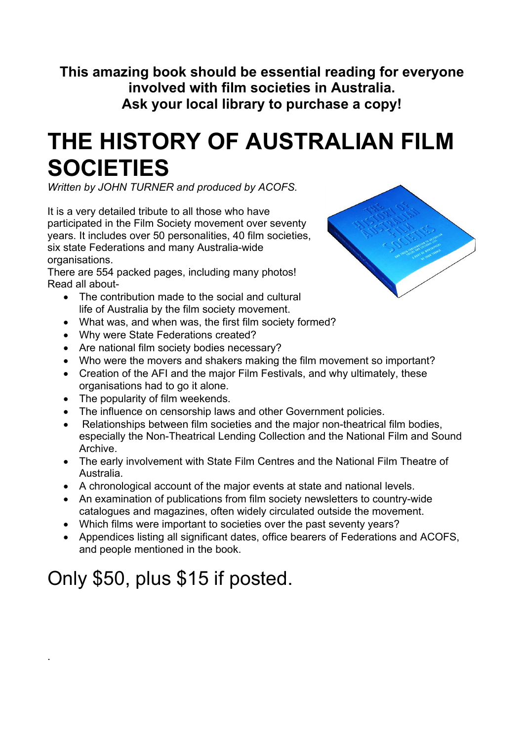**This amazing book should be essential reading for everyone involved with film societies in Australia. Ask your local library to purchase a copy!**

## **THE HISTORY OF AUSTRALIAN FILM SOCIETIES**

*Written by JOHN TURNER and produced by ACOFS.* 

It is a very detailed tribute to all those who have participated in the Film Society movement over seventy years. It includes over 50 personalities, 40 film societies, six state Federations and many Australia-wide organisations.

There are 554 packed pages, including many photos! Read all about-

- The contribution made to the social and cultural life of Australia by the film society movement.
- What was, and when was, the first film society formed?
- Why were State Federations created?
- Are national film society bodies necessary?
- Who were the movers and shakers making the film movement so important?
- Creation of the AFI and the major Film Festivals, and why ultimately, these organisations had to go it alone.
- The popularity of film weekends.
- The influence on censorship laws and other Government policies.
- Relationships between film societies and the major non-theatrical film bodies, especially the Non-Theatrical Lending Collection and the National Film and Sound Archive.
- The early involvement with State Film Centres and the National Film Theatre of Australia.
- A chronological account of the major events at state and national levels.
- An examination of publications from film society newsletters to country-wide catalogues and magazines, often widely circulated outside the movement.
- Which films were important to societies over the past seventy years?
- Appendices listing all significant dates, office bearers of Federations and ACOFS, and people mentioned in the book.

## Only \$50, plus \$15 if posted.

.